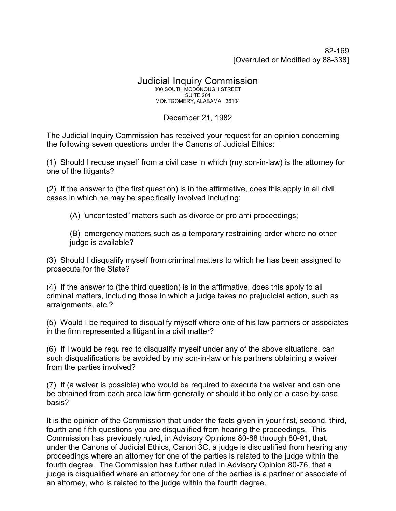82-169 [Overruled or Modified by 88-338]

## Judicial Inquiry Commission 800 SOUTH MCDONOUGH STREET SUITE 201

MONTGOMERY, ALABAMA 36104

## December 21, 1982

The Judicial Inquiry Commission has received your request for an opinion concerning the following seven questions under the Canons of Judicial Ethics:

(1) Should I recuse myself from a civil case in which (my son-in-law) is the attorney for one of the litigants?

(2) If the answer to (the first question) is in the affirmative, does this apply in all civil cases in which he may be specifically involved including:

(A) "uncontested" matters such as divorce or pro ami proceedings;

(B) emergency matters such as a temporary restraining order where no other judge is available?

(3) Should I disqualify myself from criminal matters to which he has been assigned to prosecute for the State?

(4) If the answer to (the third question) is in the affirmative, does this apply to all criminal matters, including those in which a judge takes no prejudicial action, such as arraignments, etc.?

(5) Would I be required to disqualify myself where one of his law partners or associates in the firm represented a litigant in a civil matter?

(6) If I would be required to disqualify myself under any of the above situations, can such disqualifications be avoided by my son-in-law or his partners obtaining a waiver from the parties involved?

(7) If (a waiver is possible) who would be required to execute the waiver and can one be obtained from each area law firm generally or should it be only on a case-by-case basis?

It is the opinion of the Commission that under the facts given in your first, second, third, fourth and fifth questions you are disqualified from hearing the proceedings. This Commission has previously ruled, in Advisory Opinions 80-88 through 80-91, that, under the Canons of Judicial Ethics, Canon 3C, a judge is disqualified from hearing any proceedings where an attorney for one of the parties is related to the judge within the fourth degree. The Commission has further ruled in Advisory Opinion 80-76, that a judge is disqualified where an attorney for one of the parties is a partner or associate of an attorney, who is related to the judge within the fourth degree.